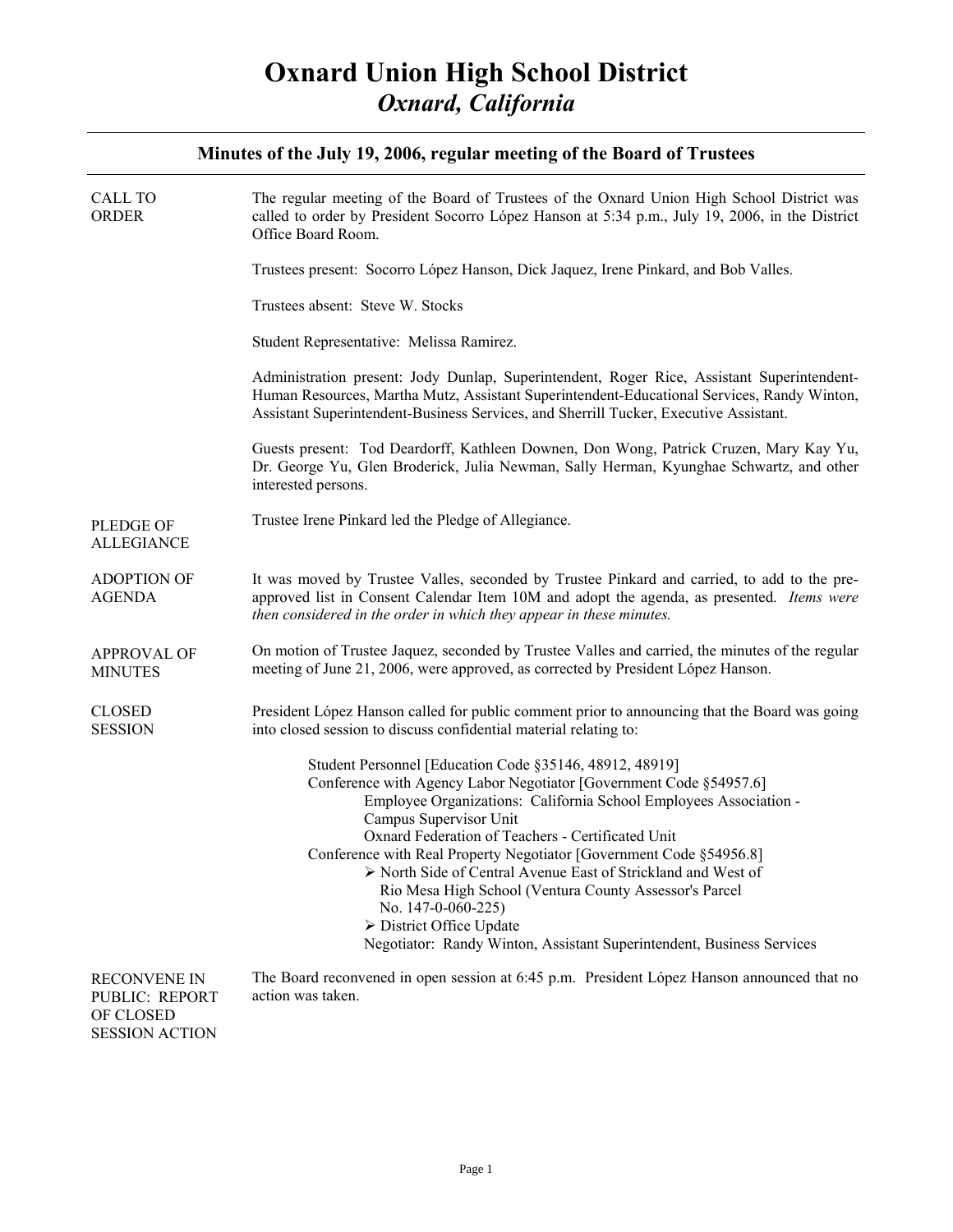### **Minutes of the July 19, 2006, regular meeting of the Board of Trustees**

| <b>CALL TO</b><br><b>ORDER</b>                                              | The regular meeting of the Board of Trustees of the Oxnard Union High School District was<br>called to order by President Socorro López Hanson at 5:34 p.m., July 19, 2006, in the District<br>Office Board Room.                                                                                                                                                                                                                                                                                                                                                                                              |
|-----------------------------------------------------------------------------|----------------------------------------------------------------------------------------------------------------------------------------------------------------------------------------------------------------------------------------------------------------------------------------------------------------------------------------------------------------------------------------------------------------------------------------------------------------------------------------------------------------------------------------------------------------------------------------------------------------|
|                                                                             | Trustees present: Socorro López Hanson, Dick Jaquez, Irene Pinkard, and Bob Valles.                                                                                                                                                                                                                                                                                                                                                                                                                                                                                                                            |
|                                                                             | Trustees absent: Steve W. Stocks                                                                                                                                                                                                                                                                                                                                                                                                                                                                                                                                                                               |
|                                                                             | Student Representative: Melissa Ramirez.                                                                                                                                                                                                                                                                                                                                                                                                                                                                                                                                                                       |
|                                                                             | Administration present: Jody Dunlap, Superintendent, Roger Rice, Assistant Superintendent-<br>Human Resources, Martha Mutz, Assistant Superintendent-Educational Services, Randy Winton,<br>Assistant Superintendent-Business Services, and Sherrill Tucker, Executive Assistant.                                                                                                                                                                                                                                                                                                                              |
|                                                                             | Guests present: Tod Deardorff, Kathleen Downen, Don Wong, Patrick Cruzen, Mary Kay Yu,<br>Dr. George Yu, Glen Broderick, Julia Newman, Sally Herman, Kyunghae Schwartz, and other<br>interested persons.                                                                                                                                                                                                                                                                                                                                                                                                       |
| <b>PLEDGE OF</b><br><b>ALLEGIANCE</b>                                       | Trustee Irene Pinkard led the Pledge of Allegiance.                                                                                                                                                                                                                                                                                                                                                                                                                                                                                                                                                            |
| <b>ADOPTION OF</b><br><b>AGENDA</b>                                         | It was moved by Trustee Valles, seconded by Trustee Pinkard and carried, to add to the pre-<br>approved list in Consent Calendar Item 10M and adopt the agenda, as presented. Items were<br>then considered in the order in which they appear in these minutes.                                                                                                                                                                                                                                                                                                                                                |
| <b>APPROVAL OF</b><br><b>MINUTES</b>                                        | On motion of Trustee Jaquez, seconded by Trustee Valles and carried, the minutes of the regular<br>meeting of June 21, 2006, were approved, as corrected by President López Hanson.                                                                                                                                                                                                                                                                                                                                                                                                                            |
| <b>CLOSED</b><br><b>SESSION</b>                                             | President López Hanson called for public comment prior to announcing that the Board was going<br>into closed session to discuss confidential material relating to:                                                                                                                                                                                                                                                                                                                                                                                                                                             |
|                                                                             | Student Personnel [Education Code §35146, 48912, 48919]<br>Conference with Agency Labor Negotiator [Government Code §54957.6]<br>Employee Organizations: California School Employees Association -<br>Campus Supervisor Unit<br>Oxnard Federation of Teachers - Certificated Unit<br>Conference with Real Property Negotiator [Government Code §54956.8]<br>> North Side of Central Avenue East of Strickland and West of<br>Rio Mesa High School (Ventura County Assessor's Parcel<br>No. 147-0-060-225)<br>> District Office Update<br>Negotiator: Randy Winton, Assistant Superintendent, Business Services |
| <b>RECONVENE IN</b><br>PUBLIC: REPORT<br>OF CLOSED<br><b>SESSION ACTION</b> | The Board reconvened in open session at 6:45 p.m. President López Hanson announced that no<br>action was taken.                                                                                                                                                                                                                                                                                                                                                                                                                                                                                                |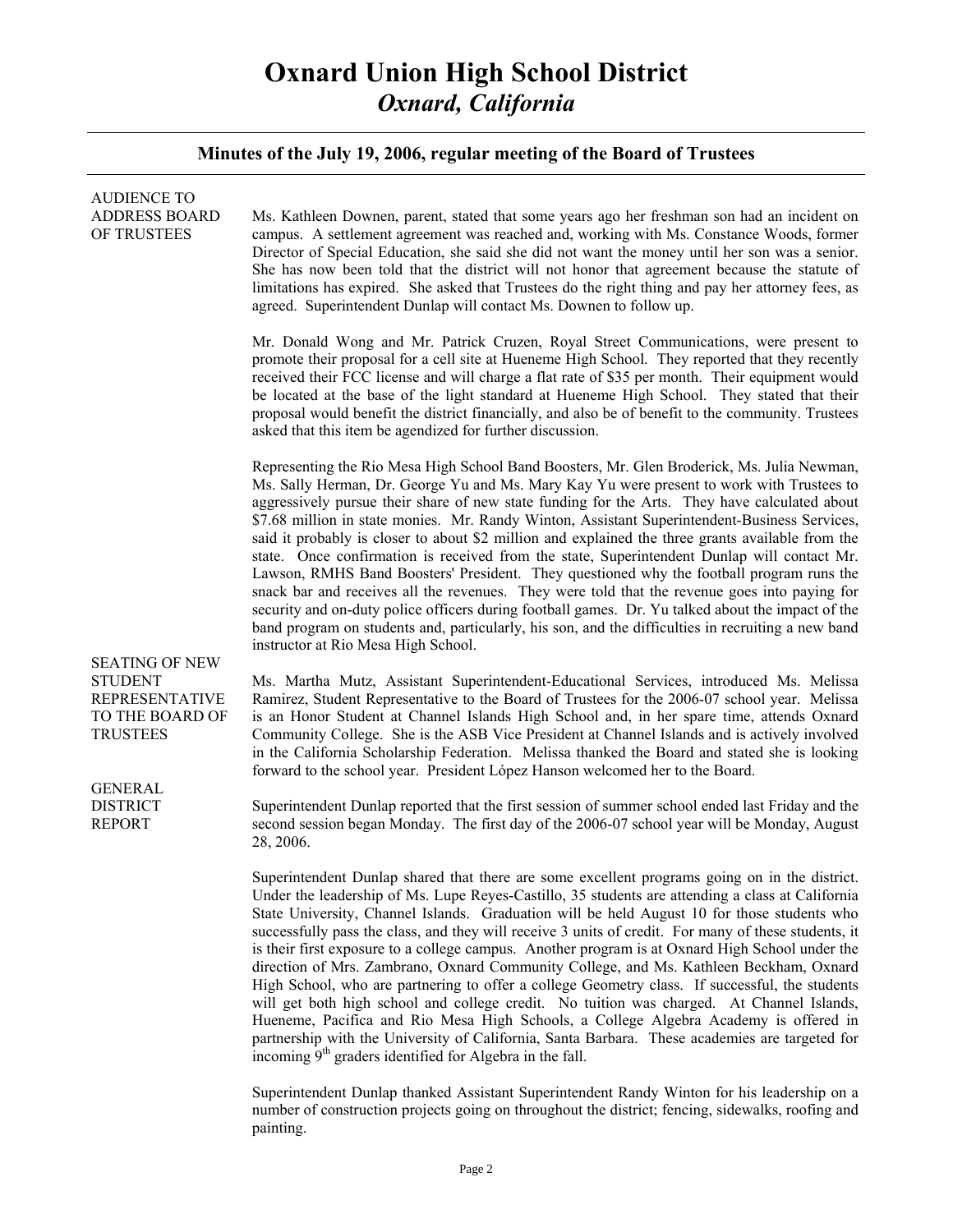### **Minutes of the July 19, 2006, regular meeting of the Board of Trustees**

| <b>AUDIENCE TO</b><br><b>ADDRESS BOARD</b><br>OF TRUSTEES<br><b>SEATING OF NEW</b><br><b>STUDENT</b><br><b>REPRESENTATIVE</b><br>TO THE BOARD OF<br><b>TRUSTEES</b><br><b>GENERAL</b><br><b>DISTRICT</b><br><b>REPORT</b> | Ms. Kathleen Downen, parent, stated that some years ago her freshman son had an incident on<br>campus. A settlement agreement was reached and, working with Ms. Constance Woods, former<br>Director of Special Education, she said she did not want the money until her son was a senior.<br>She has now been told that the district will not honor that agreement because the statute of<br>limitations has expired. She asked that Trustees do the right thing and pay her attorney fees, as<br>agreed. Superintendent Dunlap will contact Ms. Downen to follow up.                                                                                                                                                                                                                                                                                                                                                                                                                                                                                                  |
|---------------------------------------------------------------------------------------------------------------------------------------------------------------------------------------------------------------------------|------------------------------------------------------------------------------------------------------------------------------------------------------------------------------------------------------------------------------------------------------------------------------------------------------------------------------------------------------------------------------------------------------------------------------------------------------------------------------------------------------------------------------------------------------------------------------------------------------------------------------------------------------------------------------------------------------------------------------------------------------------------------------------------------------------------------------------------------------------------------------------------------------------------------------------------------------------------------------------------------------------------------------------------------------------------------|
|                                                                                                                                                                                                                           | Mr. Donald Wong and Mr. Patrick Cruzen, Royal Street Communications, were present to<br>promote their proposal for a cell site at Hueneme High School. They reported that they recently<br>received their FCC license and will charge a flat rate of \$35 per month. Their equipment would<br>be located at the base of the light standard at Hueneme High School. They stated that their<br>proposal would benefit the district financially, and also be of benefit to the community. Trustees<br>asked that this item be agendized for further discussion.                                                                                                                                                                                                                                                                                                                                                                                                                                                                                                           |
|                                                                                                                                                                                                                           | Representing the Rio Mesa High School Band Boosters, Mr. Glen Broderick, Ms. Julia Newman,<br>Ms. Sally Herman, Dr. George Yu and Ms. Mary Kay Yu were present to work with Trustees to<br>aggressively pursue their share of new state funding for the Arts. They have calculated about<br>\$7.68 million in state monies. Mr. Randy Winton, Assistant Superintendent-Business Services,<br>said it probably is closer to about \$2 million and explained the three grants available from the<br>state. Once confirmation is received from the state, Superintendent Dunlap will contact Mr.<br>Lawson, RMHS Band Boosters' President. They questioned why the football program runs the<br>snack bar and receives all the revenues. They were told that the revenue goes into paying for<br>security and on-duty police officers during football games. Dr. Yu talked about the impact of the<br>band program on students and, particularly, his son, and the difficulties in recruiting a new band<br>instructor at Rio Mesa High School.                           |
|                                                                                                                                                                                                                           | Ms. Martha Mutz, Assistant Superintendent-Educational Services, introduced Ms. Melissa<br>Ramirez, Student Representative to the Board of Trustees for the 2006-07 school year. Melissa<br>is an Honor Student at Channel Islands High School and, in her spare time, attends Oxnard<br>Community College. She is the ASB Vice President at Channel Islands and is actively involved<br>in the California Scholarship Federation. Melissa thanked the Board and stated she is looking<br>forward to the school year. President López Hanson welcomed her to the Board.                                                                                                                                                                                                                                                                                                                                                                                                                                                                                                 |
|                                                                                                                                                                                                                           | Superintendent Dunlap reported that the first session of summer school ended last Friday and the<br>second session began Monday. The first day of the 2006-07 school year will be Monday, August<br>28, 2006.                                                                                                                                                                                                                                                                                                                                                                                                                                                                                                                                                                                                                                                                                                                                                                                                                                                          |
|                                                                                                                                                                                                                           | Superintendent Dunlap shared that there are some excellent programs going on in the district.<br>Under the leadership of Ms. Lupe Reyes-Castillo, 35 students are attending a class at California<br>State University, Channel Islands. Graduation will be held August 10 for those students who<br>successfully pass the class, and they will receive 3 units of credit. For many of these students, it<br>is their first exposure to a college campus. Another program is at Oxnard High School under the<br>direction of Mrs. Zambrano, Oxnard Community College, and Ms. Kathleen Beckham, Oxnard<br>High School, who are partnering to offer a college Geometry class. If successful, the students<br>will get both high school and college credit. No tuition was charged. At Channel Islands,<br>Hueneme, Pacifica and Rio Mesa High Schools, a College Algebra Academy is offered in<br>partnership with the University of California, Santa Barbara. These academies are targeted for<br>incoming 9 <sup>th</sup> graders identified for Algebra in the fall. |
|                                                                                                                                                                                                                           | Superintendent Dunlap thanked Assistant Superintendent Randy Winton for his leadership on a<br>number of construction projects going on throughout the district; fencing, sidewalks, roofing and                                                                                                                                                                                                                                                                                                                                                                                                                                                                                                                                                                                                                                                                                                                                                                                                                                                                       |

painting.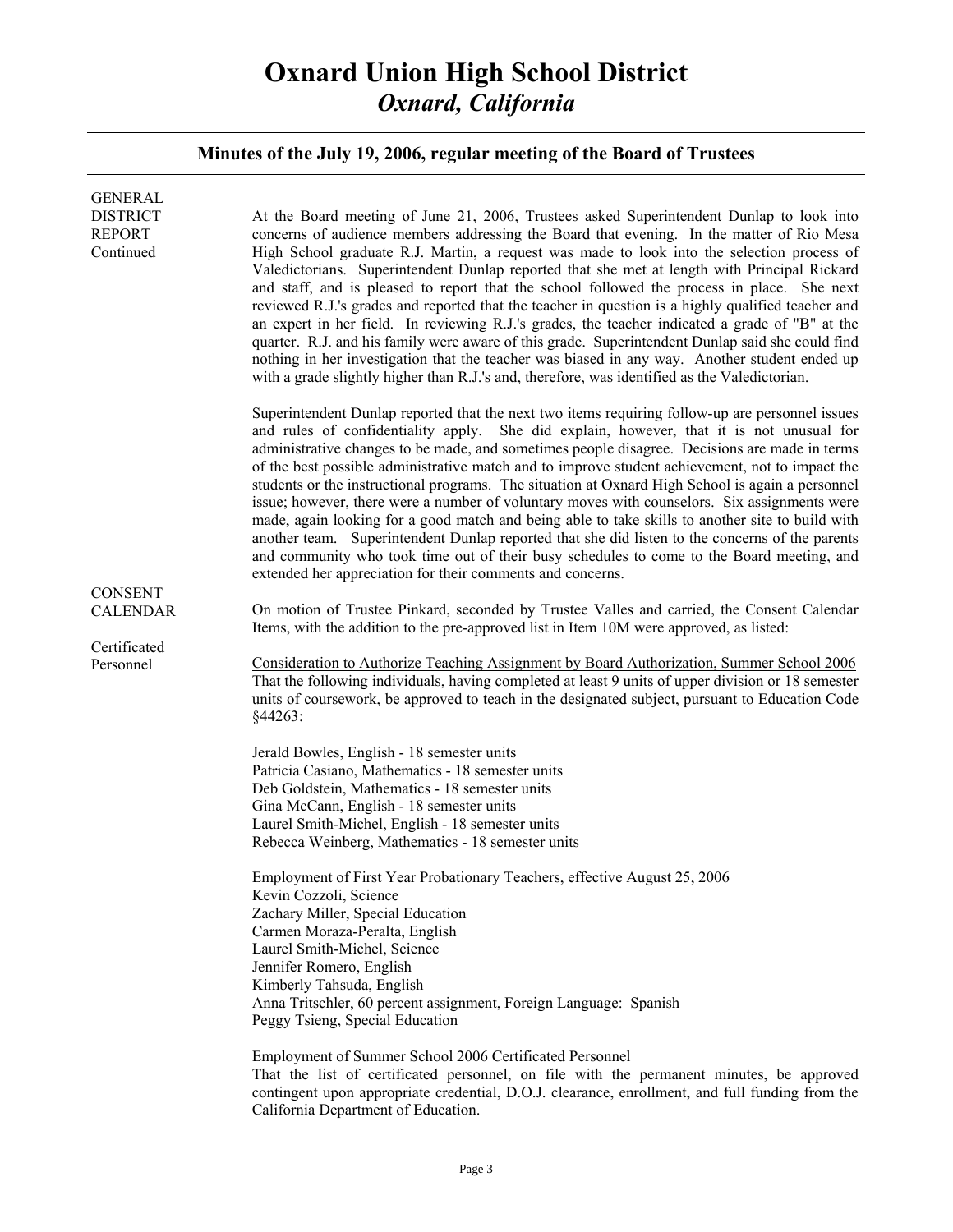### **Minutes of the July 19, 2006, regular meeting of the Board of Trustees**

| <b>GENERAL</b><br><b>DISTRICT</b><br><b>REPORT</b><br>Continued | At the Board meeting of June 21, 2006, Trustees asked Superintendent Dunlap to look into<br>concerns of audience members addressing the Board that evening. In the matter of Rio Mesa<br>High School graduate R.J. Martin, a request was made to look into the selection process of<br>Valedictorians. Superintendent Dunlap reported that she met at length with Principal Rickard<br>and staff, and is pleased to report that the school followed the process in place. She next<br>reviewed R.J.'s grades and reported that the teacher in question is a highly qualified teacher and<br>an expert in her field. In reviewing R.J.'s grades, the teacher indicated a grade of "B" at the<br>quarter. R.J. and his family were aware of this grade. Superintendent Dunlap said she could find<br>nothing in her investigation that the teacher was biased in any way. Another student ended up<br>with a grade slightly higher than R.J.'s and, therefore, was identified as the Valedictorian. |
|-----------------------------------------------------------------|---------------------------------------------------------------------------------------------------------------------------------------------------------------------------------------------------------------------------------------------------------------------------------------------------------------------------------------------------------------------------------------------------------------------------------------------------------------------------------------------------------------------------------------------------------------------------------------------------------------------------------------------------------------------------------------------------------------------------------------------------------------------------------------------------------------------------------------------------------------------------------------------------------------------------------------------------------------------------------------------------|
|                                                                 | Superintendent Dunlap reported that the next two items requiring follow-up are personnel issues<br>and rules of confidentiality apply. She did explain, however, that it is not unusual for<br>administrative changes to be made, and sometimes people disagree. Decisions are made in terms<br>of the best possible administrative match and to improve student achievement, not to impact the<br>students or the instructional programs. The situation at Oxnard High School is again a personnel<br>issue; however, there were a number of voluntary moves with counselors. Six assignments were<br>made, again looking for a good match and being able to take skills to another site to build with<br>another team. Superintendent Dunlap reported that she did listen to the concerns of the parents<br>and community who took time out of their busy schedules to come to the Board meeting, and<br>extended her appreciation for their comments and concerns.                             |
| <b>CONSENT</b><br><b>CALENDAR</b>                               | On motion of Trustee Pinkard, seconded by Trustee Valles and carried, the Consent Calendar<br>Items, with the addition to the pre-approved list in Item 10M were approved, as listed:                                                                                                                                                                                                                                                                                                                                                                                                                                                                                                                                                                                                                                                                                                                                                                                                             |
| Certificated<br>Personnel                                       | <u>Consideration to Authorize Teaching Assignment by Board Authorization, Summer School 2006</u><br>That the following individuals, having completed at least 9 units of upper division or 18 semester<br>units of coursework, be approved to teach in the designated subject, pursuant to Education Code<br>§44263:                                                                                                                                                                                                                                                                                                                                                                                                                                                                                                                                                                                                                                                                              |
|                                                                 | Jerald Bowles, English - 18 semester units<br>Patricia Casiano, Mathematics - 18 semester units<br>Deb Goldstein, Mathematics - 18 semester units<br>Gina McCann, English - 18 semester units<br>Laurel Smith-Michel, English - 18 semester units<br>Rebecca Weinberg, Mathematics - 18 semester units<br>Employment of First Year Probationary Teachers, effective August 25, 2006<br>Kevin Cozzoli, Science<br>Zachary Miller, Special Education<br>Carmen Moraza-Peralta, English<br>Laurel Smith-Michel, Science<br>Jennifer Romero, English<br>Kimberly Tahsuda, English<br>Anna Tritschler, 60 percent assignment, Foreign Language: Spanish<br>Peggy Tsieng, Special Education<br><b>Employment of Summer School 2006 Certificated Personnel</b><br>That the list of certificated personnel, on file with the permanent minutes, be approved                                                                                                                                               |
|                                                                 | contingent upon appropriate credential, D.O.J. clearance, enrollment, and full funding from the<br>California Department of Education.                                                                                                                                                                                                                                                                                                                                                                                                                                                                                                                                                                                                                                                                                                                                                                                                                                                            |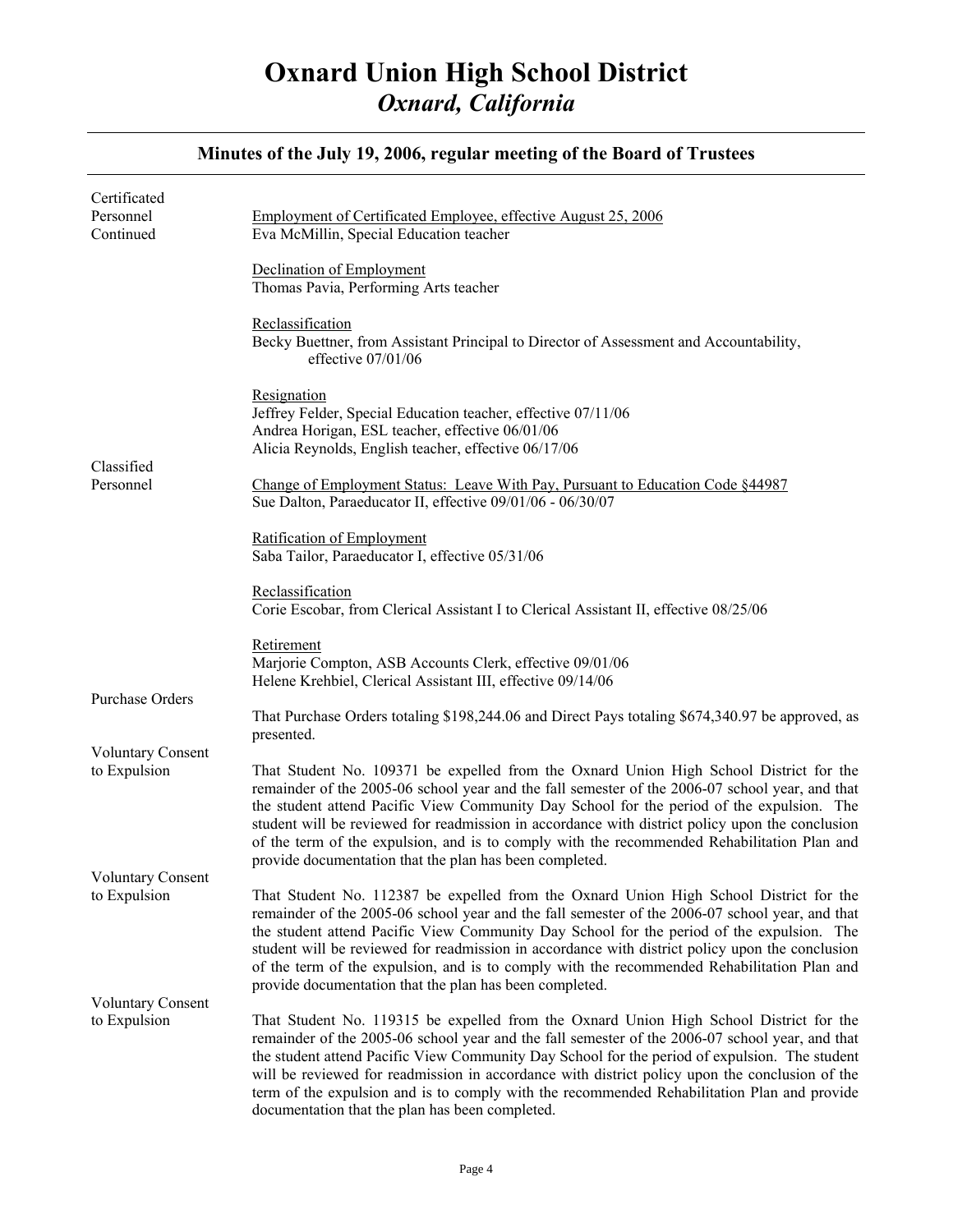#### Certificated Personnel Continued Classified Personnel Purchase Orders Voluntary Consent to Expulsion Voluntary Consent to Expulsion Voluntary Consent to Expulsion Employment of Certificated Employee, effective August 25, 2006 Eva McMillin, Special Education teacher Declination of Employment Thomas Pavia, Performing Arts teacher Reclassification Becky Buettner, from Assistant Principal to Director of Assessment and Accountability, effective 07/01/06 Resignation Jeffrey Felder, Special Education teacher, effective 07/11/06 Andrea Horigan, ESL teacher, effective 06/01/06 Alicia Reynolds, English teacher, effective 06/17/06 Change of Employment Status: Leave With Pay, Pursuant to Education Code §44987 Sue Dalton, Paraeducator II, effective 09/01/06 - 06/30/07 Ratification of Employment Saba Tailor, Paraeducator I, effective 05/31/06 Reclassification Corie Escobar, from Clerical Assistant I to Clerical Assistant II, effective 08/25/06 Retirement Marjorie Compton, ASB Accounts Clerk, effective 09/01/06 Helene Krehbiel, Clerical Assistant III, effective 09/14/06 That Purchase Orders totaling \$198,244.06 and Direct Pays totaling \$674,340.97 be approved, as presented. That Student No. 109371 be expelled from the Oxnard Union High School District for the remainder of the 2005-06 school year and the fall semester of the 2006-07 school year, and that the student attend Pacific View Community Day School for the period of the expulsion. The student will be reviewed for readmission in accordance with district policy upon the conclusion of the term of the expulsion, and is to comply with the recommended Rehabilitation Plan and provide documentation that the plan has been completed. That Student No. 112387 be expelled from the Oxnard Union High School District for the remainder of the 2005-06 school year and the fall semester of the 2006-07 school year, and that the student attend Pacific View Community Day School for the period of the expulsion. The student will be reviewed for readmission in accordance with district policy upon the conclusion of the term of the expulsion, and is to comply with the recommended Rehabilitation Plan and provide documentation that the plan has been completed. That Student No. 119315 be expelled from the Oxnard Union High School District for the remainder of the 2005-06 school year and the fall semester of the 2006-07 school year, and that the student attend Pacific View Community Day School for the period of expulsion. The student will be reviewed for readmission in accordance with district policy upon the conclusion of the

documentation that the plan has been completed.

term of the expulsion and is to comply with the recommended Rehabilitation Plan and provide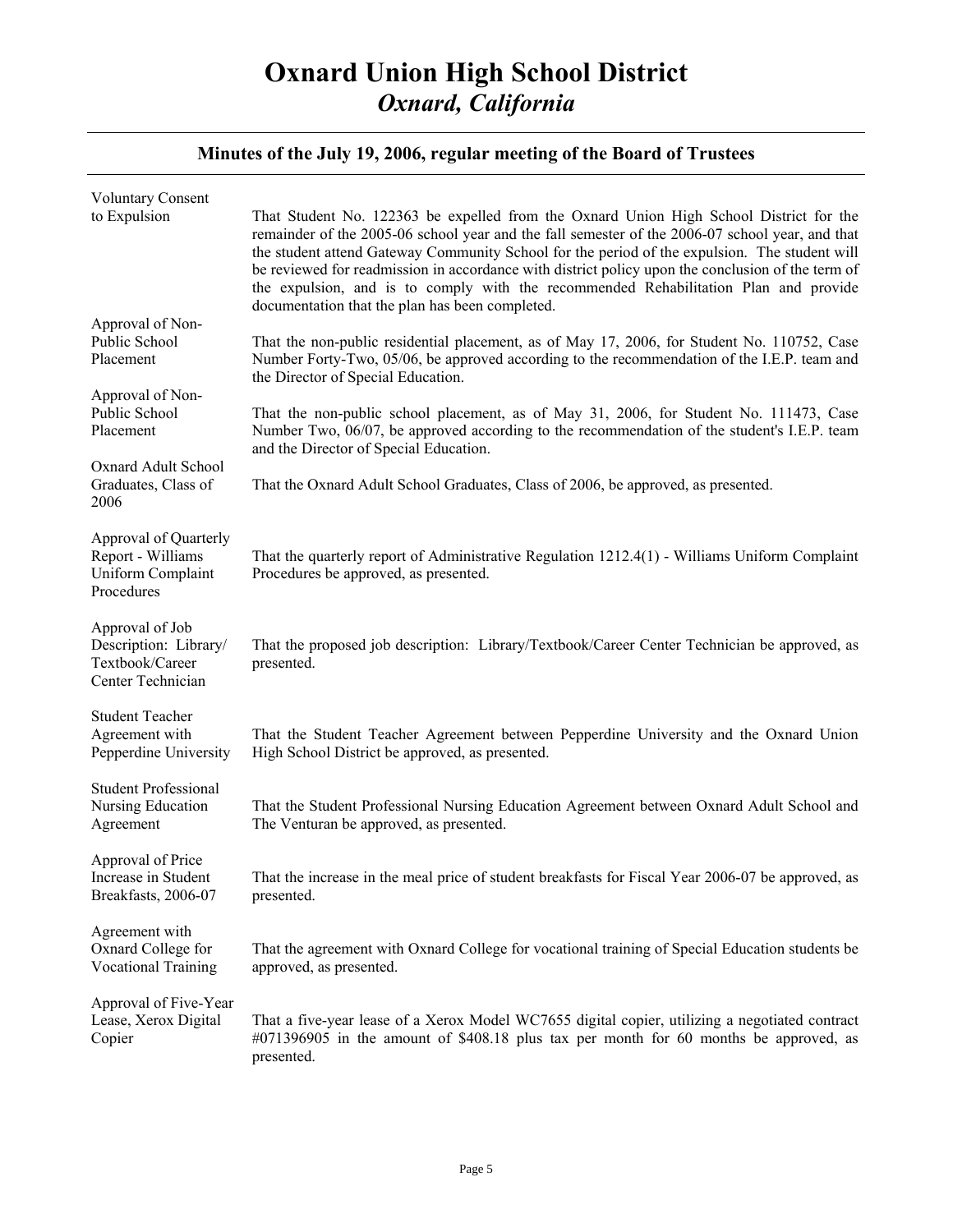### **Minutes of the July 19, 2006, regular meeting of the Board of Trustees**

| <b>Voluntary Consent</b>                                                         |                                                                                                                                                                                                                                                                                                                                                                                                                                                                                                                                            |
|----------------------------------------------------------------------------------|--------------------------------------------------------------------------------------------------------------------------------------------------------------------------------------------------------------------------------------------------------------------------------------------------------------------------------------------------------------------------------------------------------------------------------------------------------------------------------------------------------------------------------------------|
| to Expulsion                                                                     | That Student No. 122363 be expelled from the Oxnard Union High School District for the<br>remainder of the 2005-06 school year and the fall semester of the 2006-07 school year, and that<br>the student attend Gateway Community School for the period of the expulsion. The student will<br>be reviewed for readmission in accordance with district policy upon the conclusion of the term of<br>the expulsion, and is to comply with the recommended Rehabilitation Plan and provide<br>documentation that the plan has been completed. |
| Approval of Non-                                                                 |                                                                                                                                                                                                                                                                                                                                                                                                                                                                                                                                            |
| Public School<br>Placement                                                       | That the non-public residential placement, as of May 17, 2006, for Student No. 110752, Case<br>Number Forty-Two, 05/06, be approved according to the recommendation of the I.E.P. team and<br>the Director of Special Education.                                                                                                                                                                                                                                                                                                           |
| Approval of Non-                                                                 |                                                                                                                                                                                                                                                                                                                                                                                                                                                                                                                                            |
| Public School<br>Placement                                                       | That the non-public school placement, as of May 31, 2006, for Student No. 111473, Case<br>Number Two, 06/07, be approved according to the recommendation of the student's I.E.P. team<br>and the Director of Special Education.                                                                                                                                                                                                                                                                                                            |
| Oxnard Adult School                                                              |                                                                                                                                                                                                                                                                                                                                                                                                                                                                                                                                            |
| Graduates, Class of<br>2006                                                      | That the Oxnard Adult School Graduates, Class of 2006, be approved, as presented.                                                                                                                                                                                                                                                                                                                                                                                                                                                          |
|                                                                                  |                                                                                                                                                                                                                                                                                                                                                                                                                                                                                                                                            |
| Approval of Quarterly<br>Report - Williams<br>Uniform Complaint<br>Procedures    | That the quarterly report of Administrative Regulation 1212.4(1) - Williams Uniform Complaint<br>Procedures be approved, as presented.                                                                                                                                                                                                                                                                                                                                                                                                     |
| Approval of Job<br>Description: Library/<br>Textbook/Career<br>Center Technician | That the proposed job description: Library/Textbook/Career Center Technician be approved, as<br>presented.                                                                                                                                                                                                                                                                                                                                                                                                                                 |
| <b>Student Teacher</b>                                                           |                                                                                                                                                                                                                                                                                                                                                                                                                                                                                                                                            |
| Agreement with<br>Pepperdine University                                          | That the Student Teacher Agreement between Pepperdine University and the Oxnard Union<br>High School District be approved, as presented.                                                                                                                                                                                                                                                                                                                                                                                                   |
| <b>Student Professional</b>                                                      |                                                                                                                                                                                                                                                                                                                                                                                                                                                                                                                                            |
| Nursing Education<br>Agreement                                                   | That the Student Professional Nursing Education Agreement between Oxnard Adult School and<br>The Venturan be approved, as presented.                                                                                                                                                                                                                                                                                                                                                                                                       |
| Approval of Price<br>Increase in Student<br>Breakfasts, 2006-07                  | That the increase in the meal price of student breakfasts for Fiscal Year 2006-07 be approved, as<br>presented.                                                                                                                                                                                                                                                                                                                                                                                                                            |
|                                                                                  |                                                                                                                                                                                                                                                                                                                                                                                                                                                                                                                                            |
| Agreement with<br>Oxnard College for<br><b>Vocational Training</b>               | That the agreement with Oxnard College for vocational training of Special Education students be<br>approved, as presented.                                                                                                                                                                                                                                                                                                                                                                                                                 |
| Approval of Five-Year                                                            |                                                                                                                                                                                                                                                                                                                                                                                                                                                                                                                                            |
| Lease, Xerox Digital<br>Copier                                                   | That a five-year lease of a Xerox Model WC7655 digital copier, utilizing a negotiated contract<br>#071396905 in the amount of \$408.18 plus tax per month for 60 months be approved, as<br>presented.                                                                                                                                                                                                                                                                                                                                      |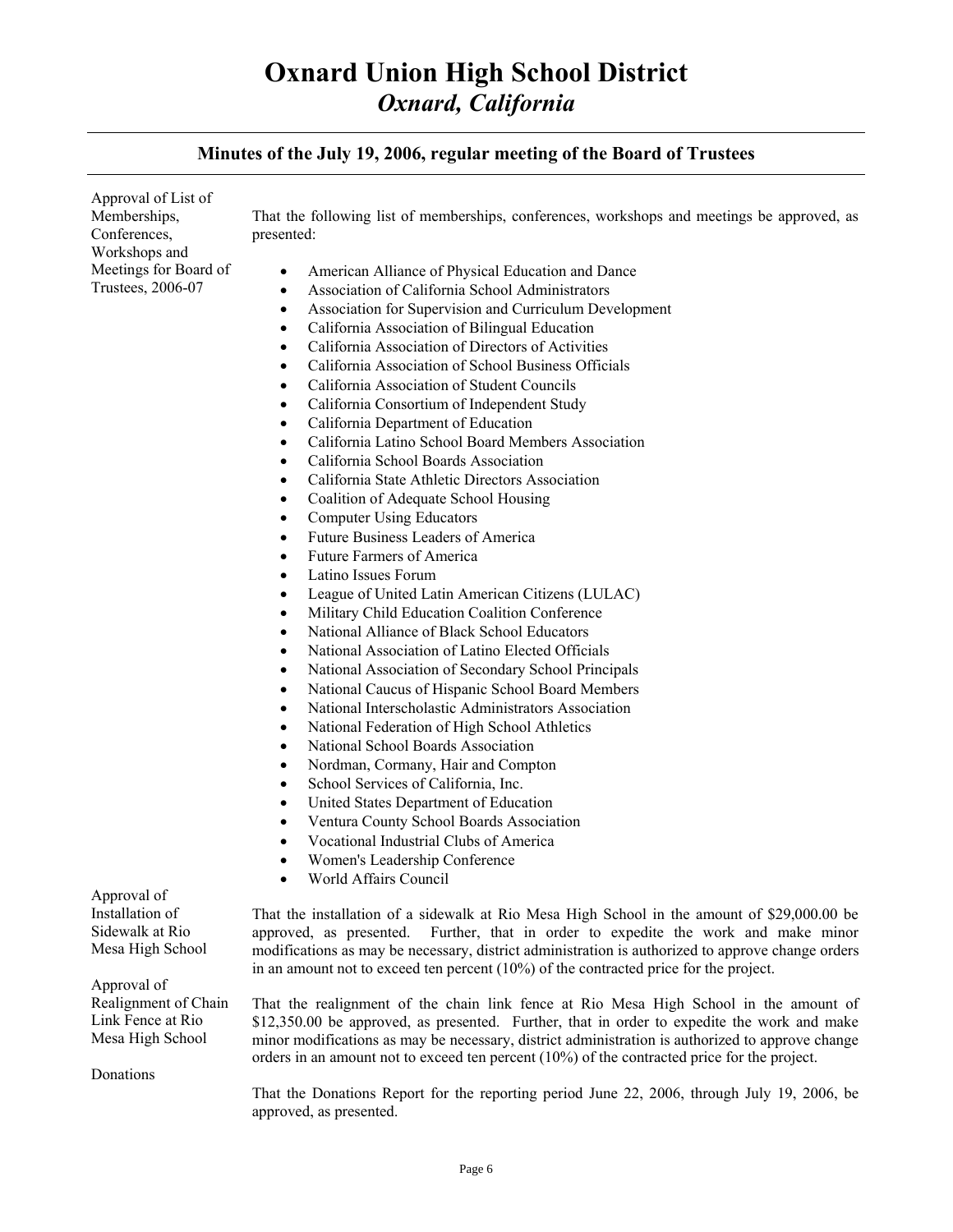### **Minutes of the July 19, 2006, regular meeting of the Board of Trustees**

Approval of List of Memberships, Conferences, Workshops and Meetings for Board of Trustees, 2006-07 That the following list of memberships, conferences, workshops and meetings be approved, as presented: • American Alliance of Physical Education and Dance • Association of California School Administrators • Association for Supervision and Curriculum Development

- California Association of Bilingual Education
- California Association of Directors of Activities
- California Association of School Business Officials
- California Association of Student Councils
- California Consortium of Independent Study
- California Department of Education
- California Latino School Board Members Association
- California School Boards Association
- California State Athletic Directors Association
- Coalition of Adequate School Housing
- Computer Using Educators
- Future Business Leaders of America
- Future Farmers of America
- Latino Issues Forum
- League of United Latin American Citizens (LULAC)
- Military Child Education Coalition Conference
- National Alliance of Black School Educators
- National Association of Latino Elected Officials
- National Association of Secondary School Principals
- National Caucus of Hispanic School Board Members
- National Interscholastic Administrators Association
- National Federation of High School Athletics
- National School Boards Association
- Nordman, Cormany, Hair and Compton
- School Services of California, Inc.
- United States Department of Education
- Ventura County School Boards Association
- Vocational Industrial Clubs of America
- Women's Leadership Conference
- World Affairs Council

Approval of Installation of Sidewalk at Rio Mesa High School

Approval of Realignment of Chain Link Fence at Rio Mesa High School

Donations

That the installation of a sidewalk at Rio Mesa High School in the amount of \$29,000.00 be approved, as presented. Further, that in order to expedite the work and make minor modifications as may be necessary, district administration is authorized to approve change orders in an amount not to exceed ten percent (10%) of the contracted price for the project.

That the realignment of the chain link fence at Rio Mesa High School in the amount of \$12,350.00 be approved, as presented. Further, that in order to expedite the work and make minor modifications as may be necessary, district administration is authorized to approve change orders in an amount not to exceed ten percent (10%) of the contracted price for the project.

That the Donations Report for the reporting period June 22, 2006, through July 19, 2006, be approved, as presented.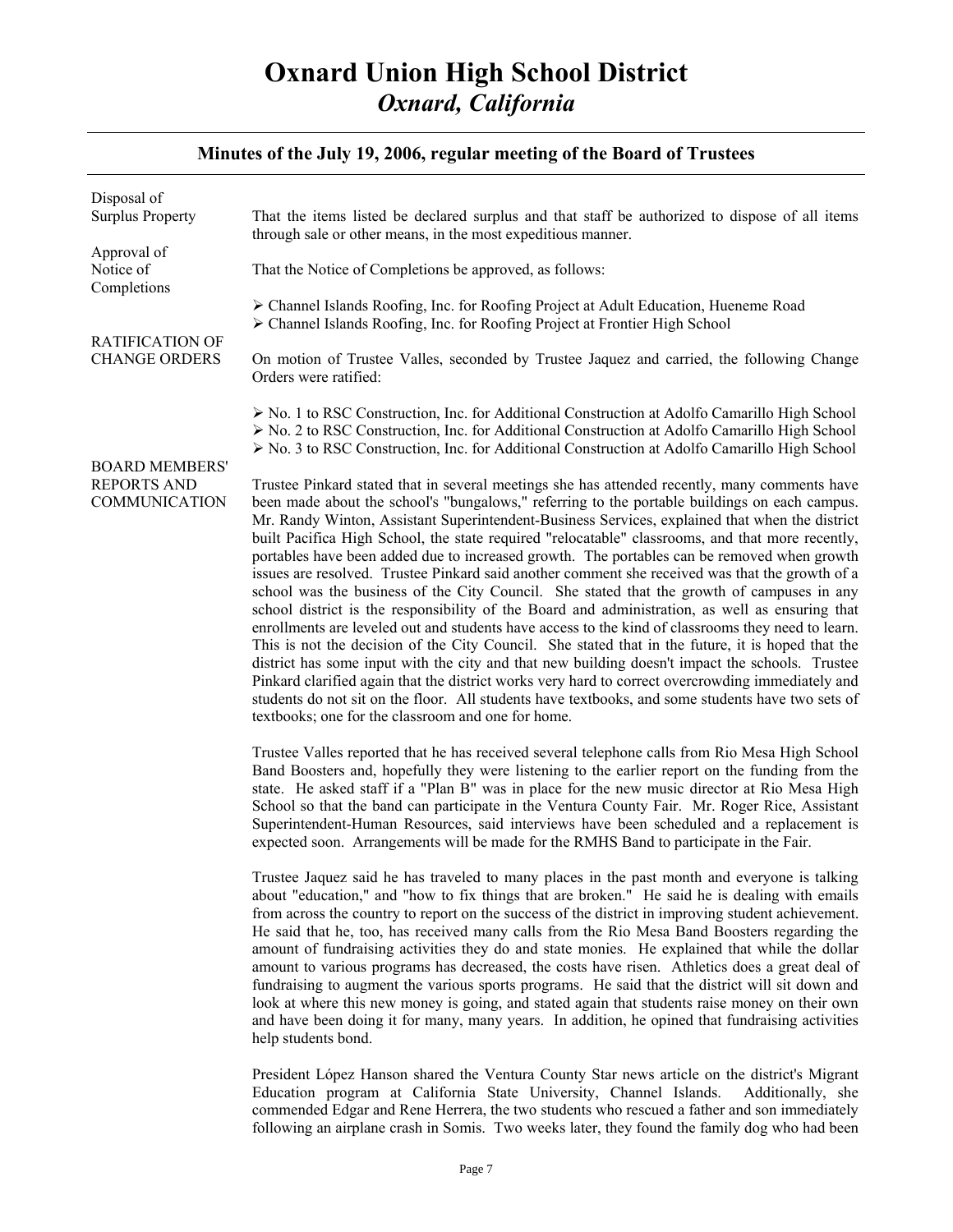### **Minutes of the July 19, 2006, regular meeting of the Board of Trustees**

| Disposal of<br><b>Surplus Property</b>                              | That the items listed be declared surplus and that staff be authorized to dispose of all items<br>through sale or other means, in the most expeditious manner.                                                                                                                                                                                                                                                                                                                                                                                                                                                                                                                                                                                                                                                                                                                                                                                                                                                                                                                                                                                                                                                                                                                                                                                                                        |
|---------------------------------------------------------------------|---------------------------------------------------------------------------------------------------------------------------------------------------------------------------------------------------------------------------------------------------------------------------------------------------------------------------------------------------------------------------------------------------------------------------------------------------------------------------------------------------------------------------------------------------------------------------------------------------------------------------------------------------------------------------------------------------------------------------------------------------------------------------------------------------------------------------------------------------------------------------------------------------------------------------------------------------------------------------------------------------------------------------------------------------------------------------------------------------------------------------------------------------------------------------------------------------------------------------------------------------------------------------------------------------------------------------------------------------------------------------------------|
| Approval of<br>Notice of<br>Completions                             | That the Notice of Completions be approved, as follows:                                                                                                                                                                                                                                                                                                                                                                                                                                                                                                                                                                                                                                                                                                                                                                                                                                                                                                                                                                                                                                                                                                                                                                                                                                                                                                                               |
| <b>RATIFICATION OF</b><br><b>CHANGE ORDERS</b>                      | > Channel Islands Roofing, Inc. for Roofing Project at Adult Education, Hueneme Road<br>> Channel Islands Roofing, Inc. for Roofing Project at Frontier High School                                                                                                                                                                                                                                                                                                                                                                                                                                                                                                                                                                                                                                                                                                                                                                                                                                                                                                                                                                                                                                                                                                                                                                                                                   |
|                                                                     | On motion of Trustee Valles, seconded by Trustee Jaquez and carried, the following Change<br>Orders were ratified:                                                                                                                                                                                                                                                                                                                                                                                                                                                                                                                                                                                                                                                                                                                                                                                                                                                                                                                                                                                                                                                                                                                                                                                                                                                                    |
| <b>BOARD MEMBERS'</b><br><b>REPORTS AND</b><br><b>COMMUNICATION</b> | $\triangleright$ No. 1 to RSC Construction, Inc. for Additional Construction at Adolfo Camarillo High School<br>> No. 2 to RSC Construction, Inc. for Additional Construction at Adolfo Camarillo High School<br>$\triangleright$ No. 3 to RSC Construction, Inc. for Additional Construction at Adolfo Camarillo High School                                                                                                                                                                                                                                                                                                                                                                                                                                                                                                                                                                                                                                                                                                                                                                                                                                                                                                                                                                                                                                                         |
|                                                                     | Trustee Pinkard stated that in several meetings she has attended recently, many comments have<br>been made about the school's "bungalows," referring to the portable buildings on each campus.<br>Mr. Randy Winton, Assistant Superintendent-Business Services, explained that when the district<br>built Pacifica High School, the state required "relocatable" classrooms, and that more recently,<br>portables have been added due to increased growth. The portables can be removed when growth<br>issues are resolved. Trustee Pinkard said another comment she received was that the growth of a<br>school was the business of the City Council. She stated that the growth of campuses in any<br>school district is the responsibility of the Board and administration, as well as ensuring that<br>enrollments are leveled out and students have access to the kind of classrooms they need to learn.<br>This is not the decision of the City Council. She stated that in the future, it is hoped that the<br>district has some input with the city and that new building doesn't impact the schools. Trustee<br>Pinkard clarified again that the district works very hard to correct overcrowding immediately and<br>students do not sit on the floor. All students have textbooks, and some students have two sets of<br>textbooks; one for the classroom and one for home. |
|                                                                     | Trustee Valles reported that he has received several telephone calls from Rio Mesa High School<br>Band Boosters and, hopefully they were listening to the earlier report on the funding from the<br>state. He asked staff if a "Plan B" was in place for the new music director at Rio Mesa High<br>School so that the band can participate in the Ventura County Fair. Mr. Roger Rice, Assistant<br>Superintendent-Human Resources, said interviews have been scheduled and a replacement is<br>expected soon. Arrangements will be made for the RMHS Band to participate in the Fair.                                                                                                                                                                                                                                                                                                                                                                                                                                                                                                                                                                                                                                                                                                                                                                                               |
|                                                                     | Trustee Jaquez said he has traveled to many places in the past month and everyone is talking<br>about "education," and "how to fix things that are broken." He said he is dealing with emails<br>from across the country to report on the success of the district in improving student achievement.<br>He said that he, too, has received many calls from the Rio Mesa Band Boosters regarding the<br>amount of fundraising activities they do and state monies. He explained that while the dollar<br>amount to various programs has decreased, the costs have risen. Athletics does a great deal of<br>fundraising to augment the various sports programs. He said that the district will sit down and<br>look at where this new money is going, and stated again that students raise money on their own<br>and have been doing it for many, many years. In addition, he opined that fundraising activities<br>help students bond.                                                                                                                                                                                                                                                                                                                                                                                                                                                  |
|                                                                     | President López Hanson shared the Ventura County Star news article on the district's Migrant                                                                                                                                                                                                                                                                                                                                                                                                                                                                                                                                                                                                                                                                                                                                                                                                                                                                                                                                                                                                                                                                                                                                                                                                                                                                                          |

Education program at California State University, Channel Islands. Additionally, she commended Edgar and Rene Herrera, the two students who rescued a father and son immediately following an airplane crash in Somis. Two weeks later, they found the family dog who had been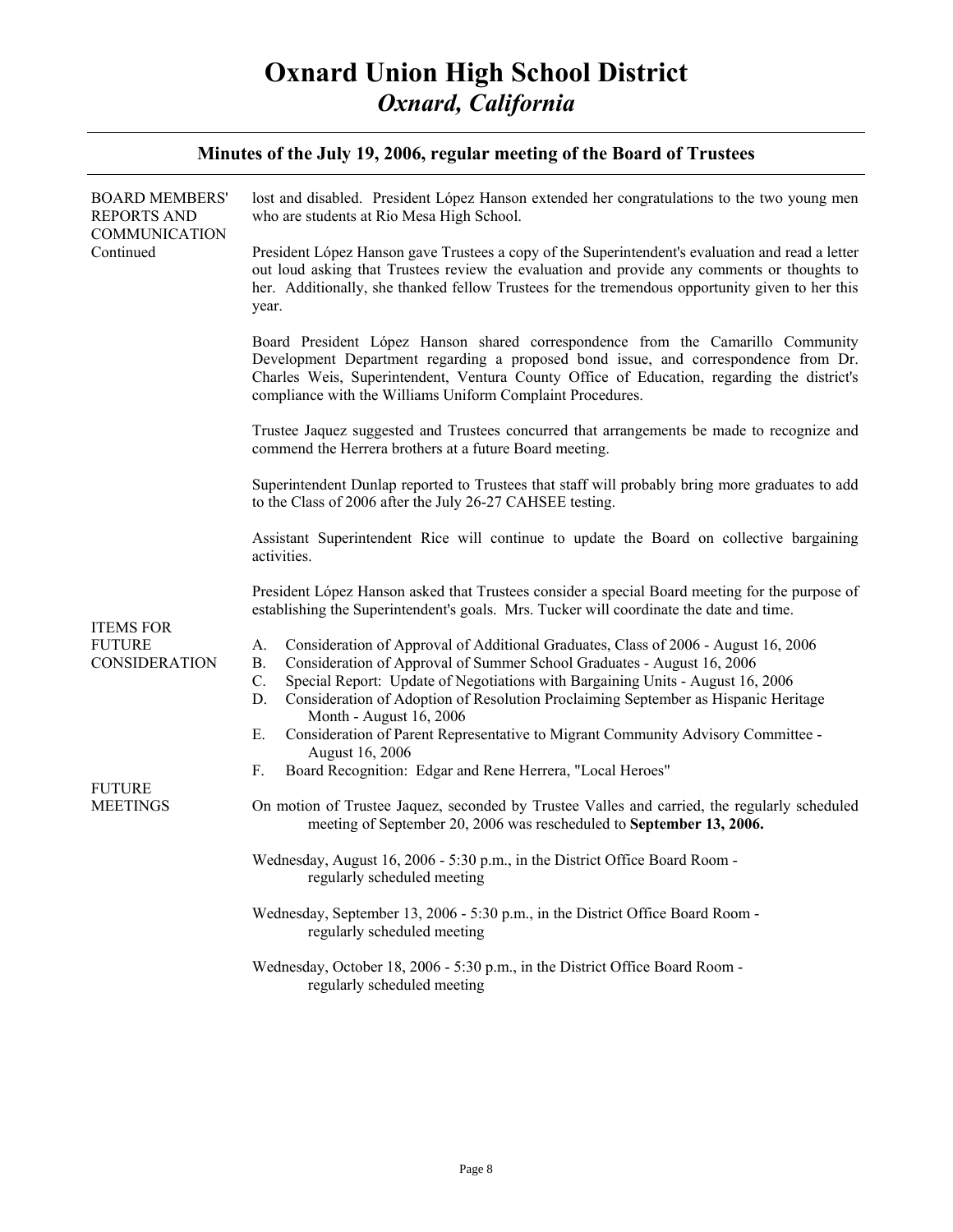| Minutes of the July 19, 2006, regular meeting of the Board of Trustees |                                                                                                                                                                                                                                                                                                                                                                                                   |  |
|------------------------------------------------------------------------|---------------------------------------------------------------------------------------------------------------------------------------------------------------------------------------------------------------------------------------------------------------------------------------------------------------------------------------------------------------------------------------------------|--|
| <b>BOARD MEMBERS'</b><br><b>REPORTS AND</b><br><b>COMMUNICATION</b>    | lost and disabled. President López Hanson extended her congratulations to the two young men<br>who are students at Rio Mesa High School.                                                                                                                                                                                                                                                          |  |
| Continued                                                              | President López Hanson gave Trustees a copy of the Superintendent's evaluation and read a letter<br>out loud asking that Trustees review the evaluation and provide any comments or thoughts to<br>her. Additionally, she thanked fellow Trustees for the tremendous opportunity given to her this<br>year.                                                                                       |  |
|                                                                        | Board President López Hanson shared correspondence from the Camarillo Community<br>Development Department regarding a proposed bond issue, and correspondence from Dr.<br>Charles Weis, Superintendent, Ventura County Office of Education, regarding the district's<br>compliance with the Williams Uniform Complaint Procedures.                                                                |  |
|                                                                        | Trustee Jaquez suggested and Trustees concurred that arrangements be made to recognize and<br>commend the Herrera brothers at a future Board meeting.                                                                                                                                                                                                                                             |  |
|                                                                        | Superintendent Dunlap reported to Trustees that staff will probably bring more graduates to add<br>to the Class of 2006 after the July 26-27 CAHSEE testing.                                                                                                                                                                                                                                      |  |
|                                                                        | Assistant Superintendent Rice will continue to update the Board on collective bargaining<br>activities.                                                                                                                                                                                                                                                                                           |  |
| <b>ITEMS FOR</b><br><b>FUTURE</b><br><b>CONSIDERATION</b>              | President López Hanson asked that Trustees consider a special Board meeting for the purpose of<br>establishing the Superintendent's goals. Mrs. Tucker will coordinate the date and time.                                                                                                                                                                                                         |  |
|                                                                        | Consideration of Approval of Additional Graduates, Class of 2006 - August 16, 2006<br>А.<br>Consideration of Approval of Summer School Graduates - August 16, 2006<br><b>B.</b><br>$C$ .<br>Special Report: Update of Negotiations with Bargaining Units - August 16, 2006<br>D.<br>Consideration of Adoption of Resolution Proclaiming September as Hispanic Heritage<br>Month - August 16, 2006 |  |
|                                                                        | Consideration of Parent Representative to Migrant Community Advisory Committee -<br>Е.<br>August 16, 2006                                                                                                                                                                                                                                                                                         |  |
| <b>FUTURE</b><br><b>MEETINGS</b>                                       | Board Recognition: Edgar and Rene Herrera, "Local Heroes"<br>F.                                                                                                                                                                                                                                                                                                                                   |  |
|                                                                        | On motion of Trustee Jaquez, seconded by Trustee Valles and carried, the regularly scheduled<br>meeting of September 20, 2006 was rescheduled to September 13, 2006.                                                                                                                                                                                                                              |  |
|                                                                        | Wednesday, August 16, 2006 - 5:30 p.m., in the District Office Board Room -<br>regularly scheduled meeting                                                                                                                                                                                                                                                                                        |  |
|                                                                        | Wednesday, September 13, 2006 - 5:30 p.m., in the District Office Board Room -<br>regularly scheduled meeting                                                                                                                                                                                                                                                                                     |  |
|                                                                        | Wednesday, October 18, 2006 - 5:30 p.m., in the District Office Board Room -<br>regularly scheduled meeting                                                                                                                                                                                                                                                                                       |  |